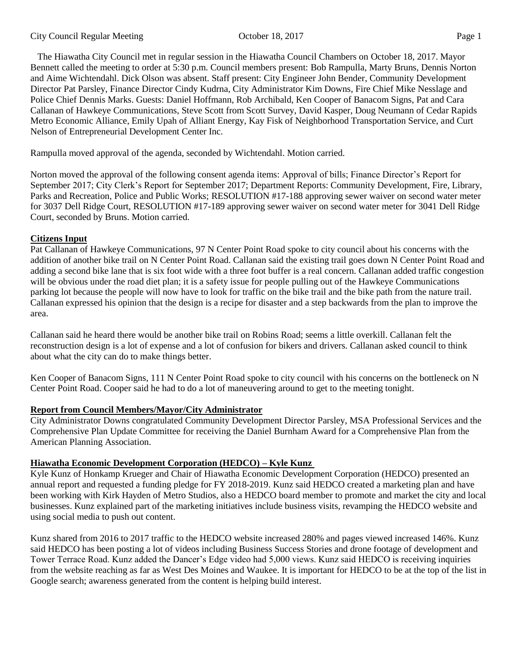The Hiawatha City Council met in regular session in the Hiawatha Council Chambers on October 18, 2017. Mayor Bennett called the meeting to order at 5:30 p.m. Council members present: Bob Rampulla, Marty Bruns, Dennis Norton and Aime Wichtendahl. Dick Olson was absent. Staff present: City Engineer John Bender, Community Development Director Pat Parsley, Finance Director Cindy Kudrna, City Administrator Kim Downs, Fire Chief Mike Nesslage and Police Chief Dennis Marks. Guests: Daniel Hoffmann, Rob Archibald, Ken Cooper of Banacom Signs, Pat and Cara Callanan of Hawkeye Communications, Steve Scott from Scott Survey, David Kasper, Doug Neumann of Cedar Rapids Metro Economic Alliance, Emily Upah of Alliant Energy, Kay Fisk of Neighborhood Transportation Service, and Curt Nelson of Entrepreneurial Development Center Inc.

Rampulla moved approval of the agenda, seconded by Wichtendahl. Motion carried.

Norton moved the approval of the following consent agenda items: Approval of bills; Finance Director's Report for September 2017; City Clerk's Report for September 2017; Department Reports: Community Development, Fire, Library, Parks and Recreation, Police and Public Works; RESOLUTION #17-188 approving sewer waiver on second water meter for 3037 Dell Ridge Court, RESOLUTION #17-189 approving sewer waiver on second water meter for 3041 Dell Ridge Court, seconded by Bruns. Motion carried.

# **Citizens Input**

Pat Callanan of Hawkeye Communications, 97 N Center Point Road spoke to city council about his concerns with the addition of another bike trail on N Center Point Road. Callanan said the existing trail goes down N Center Point Road and adding a second bike lane that is six foot wide with a three foot buffer is a real concern. Callanan added traffic congestion will be obvious under the road diet plan; it is a safety issue for people pulling out of the Hawkeye Communications parking lot because the people will now have to look for traffic on the bike trail and the bike path from the nature trail. Callanan expressed his opinion that the design is a recipe for disaster and a step backwards from the plan to improve the area.

Callanan said he heard there would be another bike trail on Robins Road; seems a little overkill. Callanan felt the reconstruction design is a lot of expense and a lot of confusion for bikers and drivers. Callanan asked council to think about what the city can do to make things better.

Ken Cooper of Banacom Signs, 111 N Center Point Road spoke to city council with his concerns on the bottleneck on N Center Point Road. Cooper said he had to do a lot of maneuvering around to get to the meeting tonight.

# **Report from Council Members/Mayor/City Administrator**

City Administrator Downs congratulated Community Development Director Parsley, MSA Professional Services and the Comprehensive Plan Update Committee for receiving the Daniel Burnham Award for a Comprehensive Plan from the American Planning Association.

# **Hiawatha Economic Development Corporation (HEDCO) – Kyle Kunz**

Kyle Kunz of Honkamp Krueger and Chair of Hiawatha Economic Development Corporation (HEDCO) presented an annual report and requested a funding pledge for FY 2018-2019. Kunz said HEDCO created a marketing plan and have been working with Kirk Hayden of Metro Studios, also a HEDCO board member to promote and market the city and local businesses. Kunz explained part of the marketing initiatives include business visits, revamping the HEDCO website and using social media to push out content.

Kunz shared from 2016 to 2017 traffic to the HEDCO website increased 280% and pages viewed increased 146%. Kunz said HEDCO has been posting a lot of videos including Business Success Stories and drone footage of development and Tower Terrace Road. Kunz added the Dancer's Edge video had 5,000 views. Kunz said HEDCO is receiving inquiries from the website reaching as far as West Des Moines and Waukee. It is important for HEDCO to be at the top of the list in Google search; awareness generated from the content is helping build interest.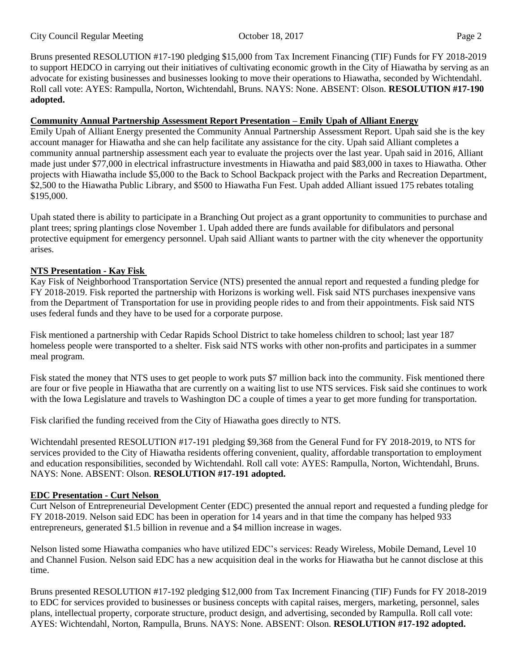City Council Regular Meeting October 18, 2017 Page 2

Bruns presented RESOLUTION #17-190 pledging \$15,000 from Tax Increment Financing (TIF) Funds for FY 2018-2019 to support HEDCO in carrying out their initiatives of cultivating economic growth in the City of Hiawatha by serving as an advocate for existing businesses and businesses looking to move their operations to Hiawatha, seconded by Wichtendahl. Roll call vote: AYES: Rampulla, Norton, Wichtendahl, Bruns. NAYS: None. ABSENT: Olson. **RESOLUTION #17-190 adopted.**

### **Community Annual Partnership Assessment Report Presentation – Emily Upah of Alliant Energy**

Emily Upah of Alliant Energy presented the Community Annual Partnership Assessment Report. Upah said she is the key account manager for Hiawatha and she can help facilitate any assistance for the city. Upah said Alliant completes a community annual partnership assessment each year to evaluate the projects over the last year. Upah said in 2016, Alliant made just under \$77,000 in electrical infrastructure investments in Hiawatha and paid \$83,000 in taxes to Hiawatha. Other projects with Hiawatha include \$5,000 to the Back to School Backpack project with the Parks and Recreation Department, \$2,500 to the Hiawatha Public Library, and \$500 to Hiawatha Fun Fest. Upah added Alliant issued 175 rebates totaling \$195,000.

Upah stated there is ability to participate in a Branching Out project as a grant opportunity to communities to purchase and plant trees; spring plantings close November 1. Upah added there are funds available for difibulators and personal protective equipment for emergency personnel. Upah said Alliant wants to partner with the city whenever the opportunity arises.

# **NTS Presentation - Kay Fisk**

Kay Fisk of Neighborhood Transportation Service (NTS) presented the annual report and requested a funding pledge for FY 2018-2019. Fisk reported the partnership with Horizons is working well. Fisk said NTS purchases inexpensive vans from the Department of Transportation for use in providing people rides to and from their appointments. Fisk said NTS uses federal funds and they have to be used for a corporate purpose.

Fisk mentioned a partnership with Cedar Rapids School District to take homeless children to school; last year 187 homeless people were transported to a shelter. Fisk said NTS works with other non-profits and participates in a summer meal program.

Fisk stated the money that NTS uses to get people to work puts \$7 million back into the community. Fisk mentioned there are four or five people in Hiawatha that are currently on a waiting list to use NTS services. Fisk said she continues to work with the Iowa Legislature and travels to Washington DC a couple of times a year to get more funding for transportation.

Fisk clarified the funding received from the City of Hiawatha goes directly to NTS.

Wichtendahl presented RESOLUTION #17-191 pledging \$9,368 from the General Fund for FY 2018-2019, to NTS for services provided to the City of Hiawatha residents offering convenient, quality, affordable transportation to employment and education responsibilities, seconded by Wichtendahl. Roll call vote: AYES: Rampulla, Norton, Wichtendahl, Bruns. NAYS: None. ABSENT: Olson. **RESOLUTION #17-191 adopted.**

# **EDC Presentation - Curt Nelson**

Curt Nelson of Entrepreneurial Development Center (EDC) presented the annual report and requested a funding pledge for FY 2018-2019. Nelson said EDC has been in operation for 14 years and in that time the company has helped 933 entrepreneurs, generated \$1.5 billion in revenue and a \$4 million increase in wages.

Nelson listed some Hiawatha companies who have utilized EDC's services: Ready Wireless, Mobile Demand, Level 10 and Channel Fusion. Nelson said EDC has a new acquisition deal in the works for Hiawatha but he cannot disclose at this time.

Bruns presented RESOLUTION #17-192 pledging \$12,000 from Tax Increment Financing (TIF) Funds for FY 2018-2019 to EDC for services provided to businesses or business concepts with capital raises, mergers, marketing, personnel, sales plans, intellectual property, corporate structure, product design, and advertising, seconded by Rampulla. Roll call vote: AYES: Wichtendahl, Norton, Rampulla, Bruns. NAYS: None. ABSENT: Olson. **RESOLUTION #17-192 adopted.**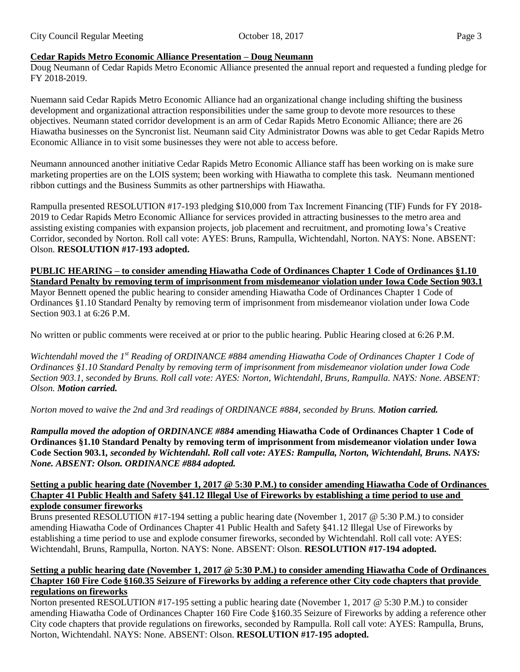# **Cedar Rapids Metro Economic Alliance Presentation – Doug Neumann**

Doug Neumann of Cedar Rapids Metro Economic Alliance presented the annual report and requested a funding pledge for FY 2018-2019.

Nuemann said Cedar Rapids Metro Economic Alliance had an organizational change including shifting the business development and organizational attraction responsibilities under the same group to devote more resources to these objectives. Neumann stated corridor development is an arm of Cedar Rapids Metro Economic Alliance; there are 26 Hiawatha businesses on the Syncronist list. Neumann said City Administrator Downs was able to get Cedar Rapids Metro Economic Alliance in to visit some businesses they were not able to access before.

Neumann announced another initiative Cedar Rapids Metro Economic Alliance staff has been working on is make sure marketing properties are on the LOIS system; been working with Hiawatha to complete this task. Neumann mentioned ribbon cuttings and the Business Summits as other partnerships with Hiawatha.

Rampulla presented RESOLUTION #17-193 pledging \$10,000 from Tax Increment Financing (TIF) Funds for FY 2018- 2019 to Cedar Rapids Metro Economic Alliance for services provided in attracting businesses to the metro area and assisting existing companies with expansion projects, job placement and recruitment, and promoting Iowa's Creative Corridor, seconded by Norton. Roll call vote: AYES: Bruns, Rampulla, Wichtendahl, Norton. NAYS: None. ABSENT: Olson. **RESOLUTION #17-193 adopted.**

**PUBLIC HEARING – to consider amending Hiawatha Code of Ordinances Chapter 1 Code of Ordinances §1.10 Standard Penalty by removing term of imprisonment from misdemeanor violation under Iowa Code Section 903.1** Mayor Bennett opened the public hearing to consider amending Hiawatha Code of Ordinances Chapter 1 Code of

Ordinances §1.10 Standard Penalty by removing term of imprisonment from misdemeanor violation under Iowa Code Section 903.1 at 6:26 P.M.

No written or public comments were received at or prior to the public hearing. Public Hearing closed at 6:26 P.M.

*Wichtendahl moved the 1st Reading of ORDINANCE #884 amending Hiawatha Code of Ordinances Chapter 1 Code of Ordinances §1.10 Standard Penalty by removing term of imprisonment from misdemeanor violation under Iowa Code Section 903.1, seconded by Bruns. Roll call vote: AYES: Norton, Wichtendahl, Bruns, Rampulla. NAYS: None. ABSENT: Olson. Motion carried.*

*Norton moved to waive the 2nd and 3rd readings of ORDINANCE #884, seconded by Bruns. Motion carried.* 

*Rampulla moved the adoption of ORDINANCE #884* **amending Hiawatha Code of Ordinances Chapter 1 Code of Ordinances §1.10 Standard Penalty by removing term of imprisonment from misdemeanor violation under Iowa Code Section 903.1***, seconded by Wichtendahl. Roll call vote: AYES: Rampulla, Norton, Wichtendahl, Bruns. NAYS: None. ABSENT: Olson. ORDINANCE #884 adopted.* 

#### **Setting a public hearing date (November 1, 2017 @ 5:30 P.M.) to consider amending Hiawatha Code of Ordinances Chapter 41 Public Health and Safety §41.12 Illegal Use of Fireworks by establishing a time period to use and explode consumer fireworks**

Bruns presented RESOLUTION #17-194 setting a public hearing date (November 1, 2017 @ 5:30 P.M.) to consider amending Hiawatha Code of Ordinances Chapter 41 Public Health and Safety §41.12 Illegal Use of Fireworks by establishing a time period to use and explode consumer fireworks, seconded by Wichtendahl. Roll call vote: AYES: Wichtendahl, Bruns, Rampulla, Norton. NAYS: None. ABSENT: Olson. **RESOLUTION #17-194 adopted.**

### **Setting a public hearing date (November 1, 2017 @ 5:30 P.M.) to consider amending Hiawatha Code of Ordinances Chapter 160 Fire Code §160.35 Seizure of Fireworks by adding a reference other City code chapters that provide regulations on fireworks**

Norton presented RESOLUTION #17-195 setting a public hearing date (November 1, 2017 @ 5:30 P.M.) to consider amending Hiawatha Code of Ordinances Chapter 160 Fire Code §160.35 Seizure of Fireworks by adding a reference other City code chapters that provide regulations on fireworks, seconded by Rampulla. Roll call vote: AYES: Rampulla, Bruns, Norton, Wichtendahl. NAYS: None. ABSENT: Olson. **RESOLUTION #17-195 adopted.**